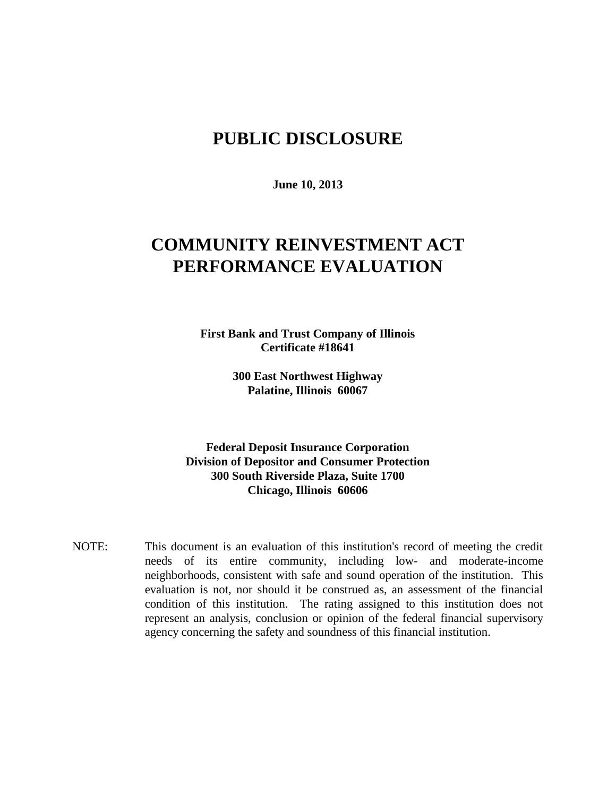## **PUBLIC DISCLOSURE**

**June 10, 2013**

# **COMMUNITY REINVESTMENT ACT PERFORMANCE EVALUATION**

**First Bank and Trust Company of Illinois Certificate #18641**

> **300 East Northwest Highway Palatine, Illinois 60067**

**Federal Deposit Insurance Corporation Division of Depositor and Consumer Protection 300 South Riverside Plaza, Suite 1700 Chicago, Illinois 60606**

NOTE: This document is an evaluation of this institution's record of meeting the credit needs of its entire community, including low- and moderate-income neighborhoods, consistent with safe and sound operation of the institution.This evaluation is not, nor should it be construed as, an assessment of the financial condition of this institution. The rating assigned to this institution does not represent an analysis, conclusion or opinion of the federal financial supervisory agency concerning the safety and soundness of this financial institution.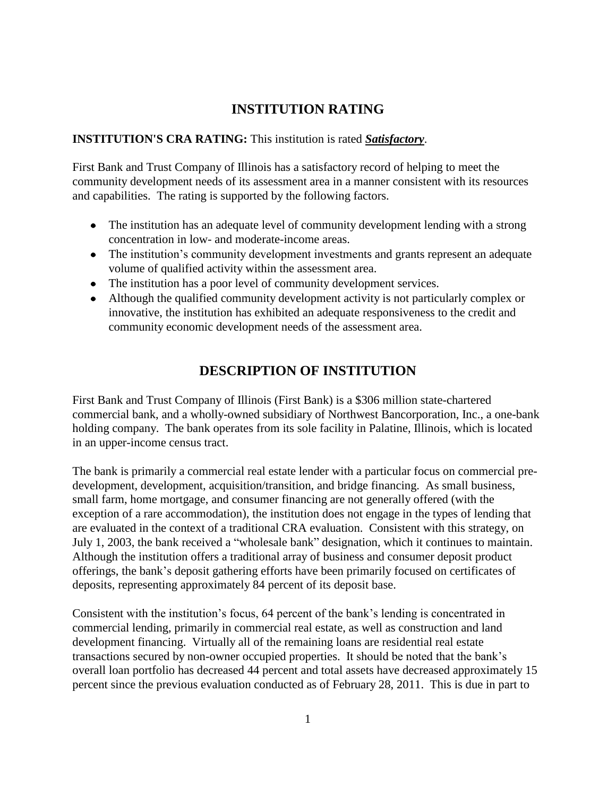### **INSTITUTION RATING**

#### **INSTITUTION'S CRA RATING:** This institution is rated *Satisfactory*.

First Bank and Trust Company of Illinois has a satisfactory record of helping to meet the community development needs of its assessment area in a manner consistent with its resources and capabilities. The rating is supported by the following factors.

- The institution has an adequate level of community development lending with a strong concentration in low- and moderate-income areas.
- The institution's community development investments and grants represent an adequate volume of qualified activity within the assessment area.
- The institution has a poor level of community development services.
- Although the qualified community development activity is not particularly complex or innovative, the institution has exhibited an adequate responsiveness to the credit and community economic development needs of the assessment area.

## **DESCRIPTION OF INSTITUTION**

First Bank and Trust Company of Illinois (First Bank) is a \$306 million state-chartered commercial bank, and a wholly-owned subsidiary of Northwest Bancorporation, Inc., a one-bank holding company. The bank operates from its sole facility in Palatine, Illinois, which is located in an upper-income census tract.

The bank is primarily a commercial real estate lender with a particular focus on commercial predevelopment, development, acquisition/transition, and bridge financing. As small business, small farm, home mortgage, and consumer financing are not generally offered (with the exception of a rare accommodation), the institution does not engage in the types of lending that are evaluated in the context of a traditional CRA evaluation. Consistent with this strategy, on July 1, 2003, the bank received a "wholesale bank" designation, which it continues to maintain. Although the institution offers a traditional array of business and consumer deposit product offerings, the bank's deposit gathering efforts have been primarily focused on certificates of deposits, representing approximately 84 percent of its deposit base.

Consistent with the institution's focus, 64 percent of the bank's lending is concentrated in commercial lending, primarily in commercial real estate, as well as construction and land development financing. Virtually all of the remaining loans are residential real estate transactions secured by non-owner occupied properties. It should be noted that the bank's overall loan portfolio has decreased 44 percent and total assets have decreased approximately 15 percent since the previous evaluation conducted as of February 28, 2011. This is due in part to